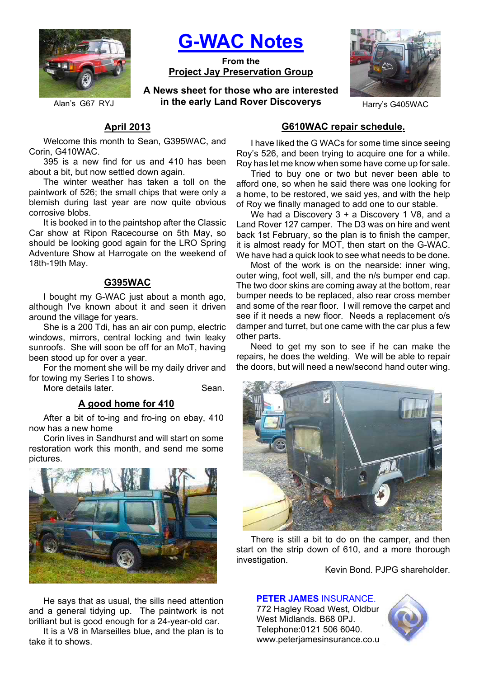

**G-WAC Notes**

**From the Project Jay Preservation Group**

**A News sheet for those who are interested**  Alan's G67 RYJ **in the early Land Rover Discoverys** Harry's G405WAC



# **April 2013**

Welcome this month to Sean, G395WAC, and Corin, G410WAC.

395 is a new find for us and 410 has been about a bit, but now settled down again.

The winter weather has taken a toll on the paintwork of 526; the small chips that were only a blemish during last year are now quite obvious corrosive blobs.

It is booked in to the paintshop after the Classic Car show at Ripon Racecourse on 5th May, so should be looking good again for the LRO Spring Adventure Show at Harrogate on the weekend of 18th-19th May.

# **G395WAC**

I bought my G-WAC just about a month ago, although I've known about it and seen it driven around the village for years.

She is a 200 Tdi, has an air con pump, electric windows, mirrors, central locking and twin leaky sunroofs. She will soon be off for an MoT, having been stood up for over a year.

For the moment she will be my daily driver and for towing my Series I to shows.

More details later. The Sean.

## **A good home for 410**

After a bit of to-ing and fro-ing on ebay, 410 now has a new home

Corin lives in Sandhurst and will start on some restoration work this month, and send me some pictures.



He says that as usual, the sills need attention and a general tidying up. The paintwork is not brilliant but is good enough for a 24-year-old car.

It is a V8 in Marseilles blue, and the plan is to take it to shows.

# **G610WAC repair schedule.**

I have liked the G WACs for some time since seeing Roy's 526, and been trying to acquire one for a while. Roy has let me know when some have come up for sale.

Tried to buy one or two but never been able to afford one, so when he said there was one looking for a home, to be restored, we said yes, and with the help of Roy we finally managed to add one to our stable.

We had a Discovery 3 + a Discovery 1 V8, and a Land Rover 127 camper. The D3 was on hire and went back 1st February, so the plan is to finish the camper, it is almost ready for MOT, then start on the G-WAC. We have had a quick look to see what needs to be done.

Most of the work is on the nearside: inner wing, outer wing, foot well, sill, and the n/s bumper end cap. The two door skins are coming away at the bottom, rear bumper needs to be replaced, also rear cross member and some of the rear floor. I will remove the carpet and see if it needs a new floor. Needs a replacement o/s damper and turret, but one came with the car plus a few other parts.

Need to get my son to see if he can make the repairs, he does the welding. We will be able to repair the doors, but will need a new/second hand outer wing.



There is still a bit to do on the camper, and then start on the strip down of 610, and a more thorough investigation.

Kevin Bond. PJPG shareholder.

### **PETER JAMES** INSURANCE.

772 Hagley Road West, Oldbur West Midlands. B68 0PJ. Telephone:0121 506 6040. www.peterjamesinsurance.co.u

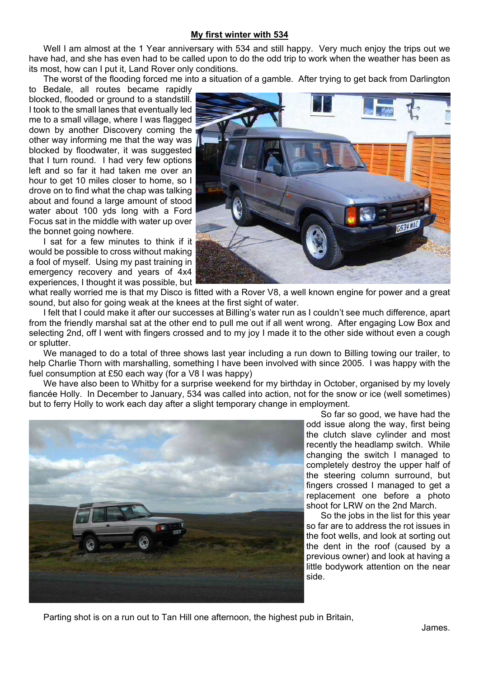### **My first winter with 534**

Well I am almost at the 1 Year anniversary with 534 and still happy. Very much enjoy the trips out we have had, and she has even had to be called upon to do the odd trip to work when the weather has been as its most, how can I put it, Land Rover only conditions.

The worst of the flooding forced me into a situation of a gamble. After trying to get back from Darlington

to Bedale, all routes became rapidly blocked, flooded or ground to a standstill. I took to the small lanes that eventually led me to a small village, where I was flagged down by another Discovery coming the other way informing me that the way was blocked by floodwater, it was suggested that I turn round. I had very few options left and so far it had taken me over an hour to get 10 miles closer to home, so I drove on to find what the chap was talking about and found a large amount of stood water about 100 yds long with a Ford Focus sat in the middle with water up over the bonnet going nowhere.

I sat for a few minutes to think if it would be possible to cross without making a fool of myself. Using my past training in emergency recovery and years of 4x4 experiences, I thought it was possible, but



what really worried me is that my Disco is fitted with a Rover V8, a well known engine for power and a great sound, but also for going weak at the knees at the first sight of water.

I felt that I could make it after our successes at Billing's water run as I couldn't see much difference, apart from the friendly marshal sat at the other end to pull me out if all went wrong. After engaging Low Box and selecting 2nd, off I went with fingers crossed and to my joy I made it to the other side without even a cough or splutter.

We managed to do a total of three shows last year including a run down to Billing towing our trailer, to help Charlie Thorn with marshalling, something I have been involved with since 2005. I was happy with the fuel consumption at £50 each way (for a V8 I was happy)

We have also been to Whitby for a surprise weekend for my birthday in October, organised by my lovely fiancée Holly. In December to January, 534 was called into action, not for the snow or ice (well sometimes) but to ferry Holly to work each day after a slight temporary change in employment.



So far so good, we have had the odd issue along the way, first being the clutch slave cylinder and most recently the headlamp switch. While changing the switch I managed to completely destroy the upper half of the steering column surround, but fingers crossed I managed to get a replacement one before a photo shoot for LRW on the 2nd March.

So the jobs in the list for this year so far are to address the rot issues in the foot wells, and look at sorting out the dent in the roof (caused by a previous owner) and look at having a little bodywork attention on the near side.

Parting shot is on a run out to Tan Hill one afternoon, the highest pub in Britain,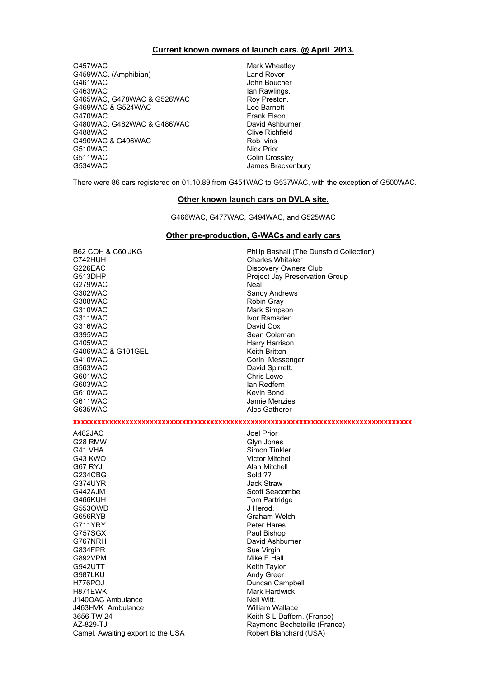#### **Current known owners of launch cars. @ April 2013.**

G457WAC Mark Wheatley G459WAC. (Amphibian) Land Rover<br>
G461WAC COMPONE CONTROLLY G463WAC Ian Rawlings. G465WAC, G478WAC & G526WAC Roy Preston. G469WAC & G524WAC Lee Barnett G470WAC Frank Elson. G480WAC, G482WAC & G486WAC David Ashburner G488WAC COME CONSERVACE CONSERVACT CONSERVACE CONSERVACE CONSERVACE CONSERVACE CONSERVACE CONSERVACE CONSERVAC<br>CONSERVACE CONSERVACE CONSERVACE CONSERVACIÓN DE ROLL DE ROLL DE CONSERVACIÓN DE ROLL DE CONSERVACIÓN DE CONSE G490WAC & G496WAC G510WAC Nick Prior G511WAC Colin Crossley<br>G534WAC Colin Crossley Colin Crossley

John Boucher James Brackenbury

There were 86 cars registered on 01.10.89 from G451WAC to G537WAC, with the exception of G500WAC.

#### **Other known launch cars on DVLA site.**

G466WAC, G477WAC, G494WAC, and G525WAC

#### **Other pre-production, G-WACs and early cars**

G226EAC Discovery Owners Club G279WAC Neal G302WAC Sandy Andrews G308WAC Robin Gray G310WAC Mark Simpson G311WAC Ivor Ramsden<br>G316WAC IVOR Ramsden<br>David Cox G316WAC<br>G395WAC G405WAC <br>G406WAC & G101GEL G406WAC & G101GEL G406WAC & G101GEL<br>G410WAC G563WAC David Spirrett. G601WAC Chris Lowe G603WAC Ian Redfern G610WAC Kevin Bond G611WAC Jamie Menzies<br>G635WAC Jamie Menzies<br>Alec Gatherer

B62 COH & C60 JKG<br>
C742HUH Philip Bashall (The Dunsfold Collection)<br>
Charles Whitaker Charles Whitaker G513DHP Project Jay Preservation Group Sean Coleman Corin Messenger Alec Gatherer

**xxxxxxxxxxxxxxxxxxxxxxxxxxxxxxxxxxxxxxxxxxxxxxxxxxxxxxxxxxxxxxxxxxxxxxxxxxxxxxxxxxxx**

A482JAC Joel Prior G41 VHA Simon Tinkler G43 KWO Victor Mitchell G67 RYJ Alan Mitchell G234CBG G374UYR Jack Straw G442AJM Scott Seacombe G466KUH Tom Partridge G553OWD J Herod. G656RYB Graham Welch<br>G711YRY G711YRY Beter Hares G711YRY Peter Hares<br>G757SGX Paul Bishop G767NRH David Ashburner<br>G834FPR Sue Virgin G834FPR Sue Virgin G942UTT **Keith Taylor** G987LKU Andy Green H776POJ Duncan Campbell H871EWK Mark Hardwick J140OAC Ambulance J463HVK Ambulance William Wallace 3656 TW 24 Keith S L Daffern. (France) AZ-829-TJ Raymond Bechetoille (France) Camel. Awaiting export to the USA Robert Blanchard (USA)

Glyn Jones Paul Bishop Mike E Hall